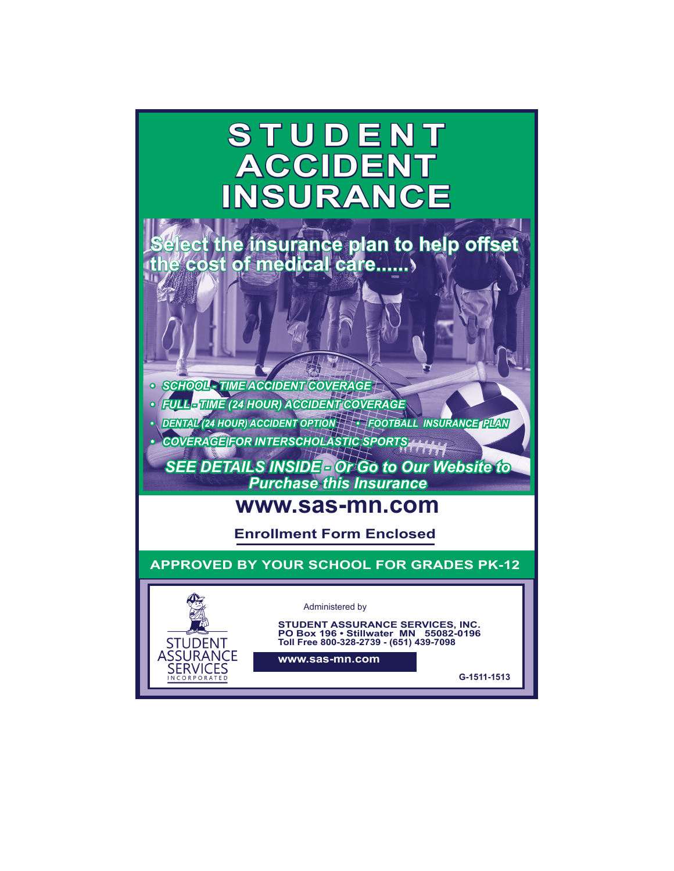# **STUDENT ACCIDENT INSURANCE**

**Select the insurance plan to help offset the cost of medical care......**

*• SCHOOL - TIME ACCIDENT COVERAGE*

**STUDENT** ASSURANCE **SERVICES** CORPORAT

*• FULL - TIME (24 HOUR) ACCIDENT COVERAGE*

*• DENTAL (24 HOUR) ACCIDENT OPTION • FOOTBALL INSURANCE PLAN*

*• COVERAGE FOR INTERSCHOLASTIC SPORTS*

*SEE DETAILS INSIDE - Or Go to Our Website to Purchase this Insurance*

## **www.sas-mn.com**

**Enrollment Form Enclosed**

**APPROVED BY YOUR SCHOOL FOR GRADES PK-12**

#### Administered by

**STUDENT ASSURANCE SERVICES, INC. PO Box 196 • Stillwater MN 55082-0196 Toll Free 800-328-2739 - (651) 439-7098**

**www.sas-mn.com**

**G-1511-1513**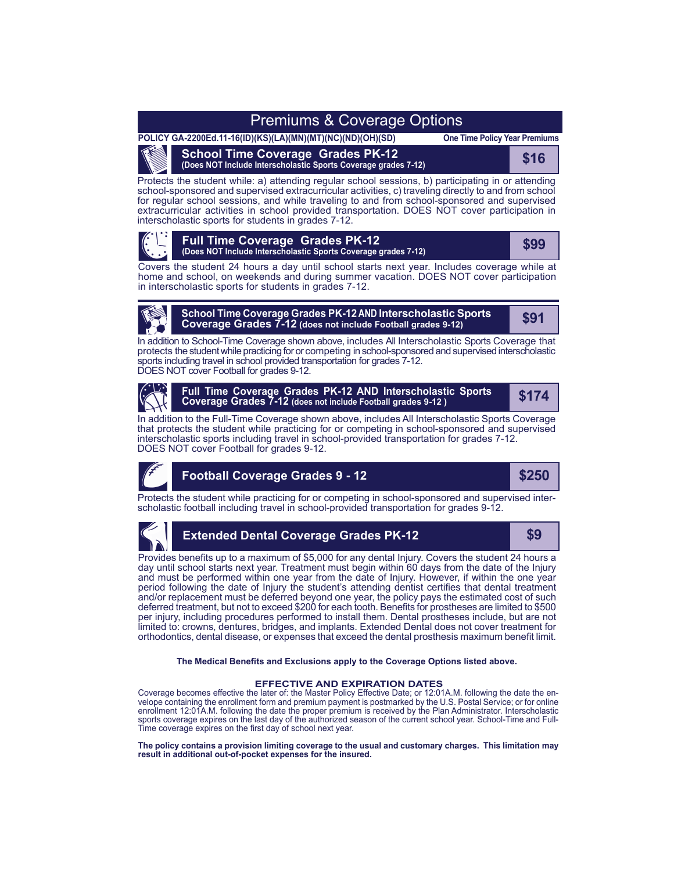## Premiums & Coverage Options

**POLICY GA-2200Ed.11-16(ID)(KS)(LA)(MN)(MT)(NC)(ND)(OH)(SD)**

**One Time Policy Year Premiums**

**School Time Coverage Grades PK-12 (Does NOT Include Interscholastic Sports Coverage grades 7-12) \$16**<br>(Does NOT Include Interscholastic Sports Coverage grades 7-12)

Protects the student while: a) attending regular school sessions, b) participating in or attending school-sponsored and supervised extracurricular activities, c) traveling directly to and from school for regular school sessions, and while traveling to and from school-sponsored and supervised extracurricular activities in school provided transportation. DOES NOT cover participation in interscholastic sports for students in grades 7-12.



#### **Full Time Coverage Grades PK-12 (Does NOT Include Interscholastic Sports Coverage grades 7-12) \$99**

Covers the student 24 hours a day until school starts next year. Includes coverage while at home and school, on weekends and during summer vacation. DOES NOT cover participation in interscholastic sports for students in grades 7-12.



## **School Time Coverage Grades PK-12 AND Interscholastic Sports Coverage Grades 7-12 (does not include Football grades 9-12) \$91**

In addition to School-Time Coverage shown above, includes All Interscholastic Sports Coverage that protects the student while practicing for or competing in school-sponsored and supervised interscholastic sports including travel in school provided transportation for grades 7-12.

DOES NOT cover Football for grades 9-12.



**Full Time Coverage Grades PK-12 AND Interscholastic Sports Coverage Grades 7-12 (does not include Football grades 9-12 )**

**\$174**

In addition to the Full-Time Coverage shown above, includes All Interscholastic Sports Coverage that protects the student while practicing for or competing in school-sponsored and supervised interscholastic sports including travel in school-provided transportation for grades 7-12. DOES NOT cover Football for grades 9-12.



## **Football Coverage Grades 9 - 12**

**\$250**

Protects the student while practicing for or competing in school-sponsored and supervised interscholastic football including travel in school-provided transportation for grades 9-12.



### **Extended Dental Coverage Grades PK-12 \$9**

Provides benefits up to a maximum of \$5,000 for any dental Injury. Covers the student 24 hours a day until school starts next year. Treatment must begin within 60 days from the date of the Injury and must be performed within one year from the date of Injury. However, if within the one year period following the date of Injury the student's attending dentist certifies that dental treatment and/or replacement must be deferred beyond one year, the policy pays the estimated cost of such deferred treatment, but not to exceed \$200 for each tooth. Benefits for prostheses are limited to \$500 per injury, including procedures performed to install them. Dental prostheses include, but are not limited to: crowns, dentures, bridges, and implants. Extended Dental does not cover treatment for orthodontics, dental disease, or expenses that exceed the dental prosthesis maximum benefit limit.

**The Medical Benefits and Exclusions apply to the Coverage Options listed above.**

#### **EFFECTIVE AND EXPIRATION DATES**

Coverage becomes effective the later of: the Master Policy Effective Date; or 12:01A.M. following the date the envelope containing the enrollment form and premium payment is postmarked by the U.S. Postal Service; or for online enrollment 12:01A.M. following the date the proper premium is received by the Plan Administrator. Interscholastic sports coverage expires on the last day of the authorized season of the current school year. School-Time and Full-Time coverage expires on the first day of school next year.

**The policy contains a provision limiting coverage to the usual and customary charges. This limitation may result in additional out-of-pocket expenses for the insured.**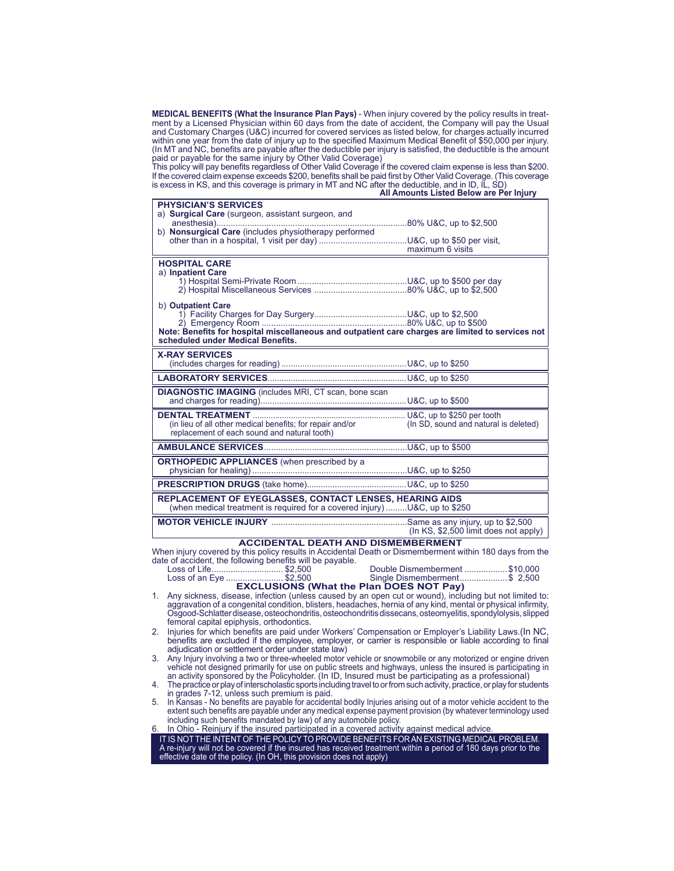**MEDICAL BENEFITS (What the Insurance Plan Pays)** - When injury covered by the policy results in treatment by a Licensed Physician within 60 days from the date of accident, the Company will pay the Usual and Customary Charges (U&C) incurred for covered services as listed below, for charges actually incurred within one year from the date of injury up to the specified Maximum Medical Benefit of \$50,000 per injury. (In MT and NC, benefits are payable after the deductible per injury is satisfied, the deductible is the amount paid or payable for the same injury by Other Valid Coverage)

This policy will pay benefits regardless of Other Valid Coverage if the covered claim expense is less than \$200. If the covered claim expense exceeds \$200, benefits shall be paid first by Other Valid Coverage. (This coverage

| is excess in KS, and this coverage is primary in MT and NC after the deductible, and in ID, IL, SD)                                         | All Amounts Listed Below are Per Injury                             |
|---------------------------------------------------------------------------------------------------------------------------------------------|---------------------------------------------------------------------|
| <b>PHYSICIAN'S SERVICES</b>                                                                                                                 |                                                                     |
| a) Surgical Care (surgeon, assistant surgeon, and                                                                                           |                                                                     |
|                                                                                                                                             |                                                                     |
|                                                                                                                                             | maximum 6 visits                                                    |
| <b>HOSPITAL CARE</b>                                                                                                                        |                                                                     |
| a) Inpatient Care                                                                                                                           |                                                                     |
|                                                                                                                                             |                                                                     |
|                                                                                                                                             |                                                                     |
| b) Outpatient Care                                                                                                                          |                                                                     |
|                                                                                                                                             |                                                                     |
| Note: Benefits for hospital miscellaneous and outpatient care charges are limited to services not<br>scheduled under Medical Benefits.      |                                                                     |
| <b>X-RAY SERVICES</b>                                                                                                                       |                                                                     |
|                                                                                                                                             |                                                                     |
|                                                                                                                                             |                                                                     |
| <b>DIAGNOSTIC IMAGING</b> (includes MRI, CT scan, bone scan                                                                                 |                                                                     |
|                                                                                                                                             |                                                                     |
| DENTAL TREATMENT<br>(in lieu of all other medical benefits; for repair and/or                                                               | U&C, up to \$250 per tooth<br>(In SD, sound and natural is deleted) |
| replacement of each sound and natural tooth)                                                                                                |                                                                     |
|                                                                                                                                             |                                                                     |
| <b>ORTHOPEDIC APPLIANCES</b> (when prescribed by a                                                                                          |                                                                     |
|                                                                                                                                             |                                                                     |
|                                                                                                                                             |                                                                     |
| <b>REPLACEMENT OF EYEGLASSES, CONTACT LENSES, HEARING AIDS</b><br>(when medical treatment is required for a covered injury)U&C, up to \$250 |                                                                     |
|                                                                                                                                             | $(ln KS, $2,500$ limit does not apply)                              |

#### **ACCIDENTAL DEATH AND DISMEMBERMENT**

When injury covered by this policy results in Accidental Death or Dismemberment within 180 days from the date of accident, the following benefits will be payable.<br>Loss of Life................................\$2,500

Loss of Life.............................. \$2,500 Double Dismemberment ..................\$10,000 Loss of an Eye ........................ \$2,500 Single Dismemberment....................\$ 2,500 **EXCLUSIONS (What the Plan DOES NOT Pay)**

- 1. Any sickness, disease, infection (unless caused by an open cut or wound), including but not limited to: aggravation of a congenital condition, blisters, headaches, hernia of any kind, mental or physical infirmity, Osgood-Schlatter disease, osteochondritis, osteochondritis dissecans, osteomyelitis, spondylolysis, slipped femoral capital epiphysis, orthodontics.
- 2. Injuries for which benefits are paid under Workers' Compensation or Employer's Liability Laws.(In NC, benefits are excluded if the employee, employer, or carrier is responsible or liable according to final adjudication or settlement order under state law)
- 3. Any Injury involving a two or three-wheeled motor vehicle or snowmobile or any motorized or engine driven vehicle not designed primarily for use on public streets and highways, unless the insured is participating in an activity sponsored by the Policyholder. (In ID, Insured must be participating as a professional)
- 4. The practice or play of interscholastic sports including travel to or from such activity, practice, or play for students in grades 7-12, unless such premium is paid.
- 5. In Kansas No benefits are payable for accidental bodily Injuries arising out of a motor vehicle accident to the extent such benefits are payable under any medical expense payment provision (by whatever terminology used including such benefits mandated by law) of any automobile policy.
- In Ohio Reinjury if the insured participated in a covered activity against medical advice

IT IS NOT THE INTENT OF THE POLICY TO PROVIDE BENEFITS FOR AN EXISTING MEDICAL PROBLEM. A re-injury will not be covered if the insured has received treatment within a period of 180 days prior to the effective date of the policy. (In OH, this provision does not apply)